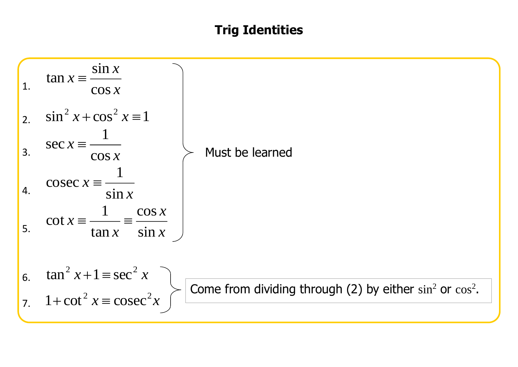## **Trig Identities**